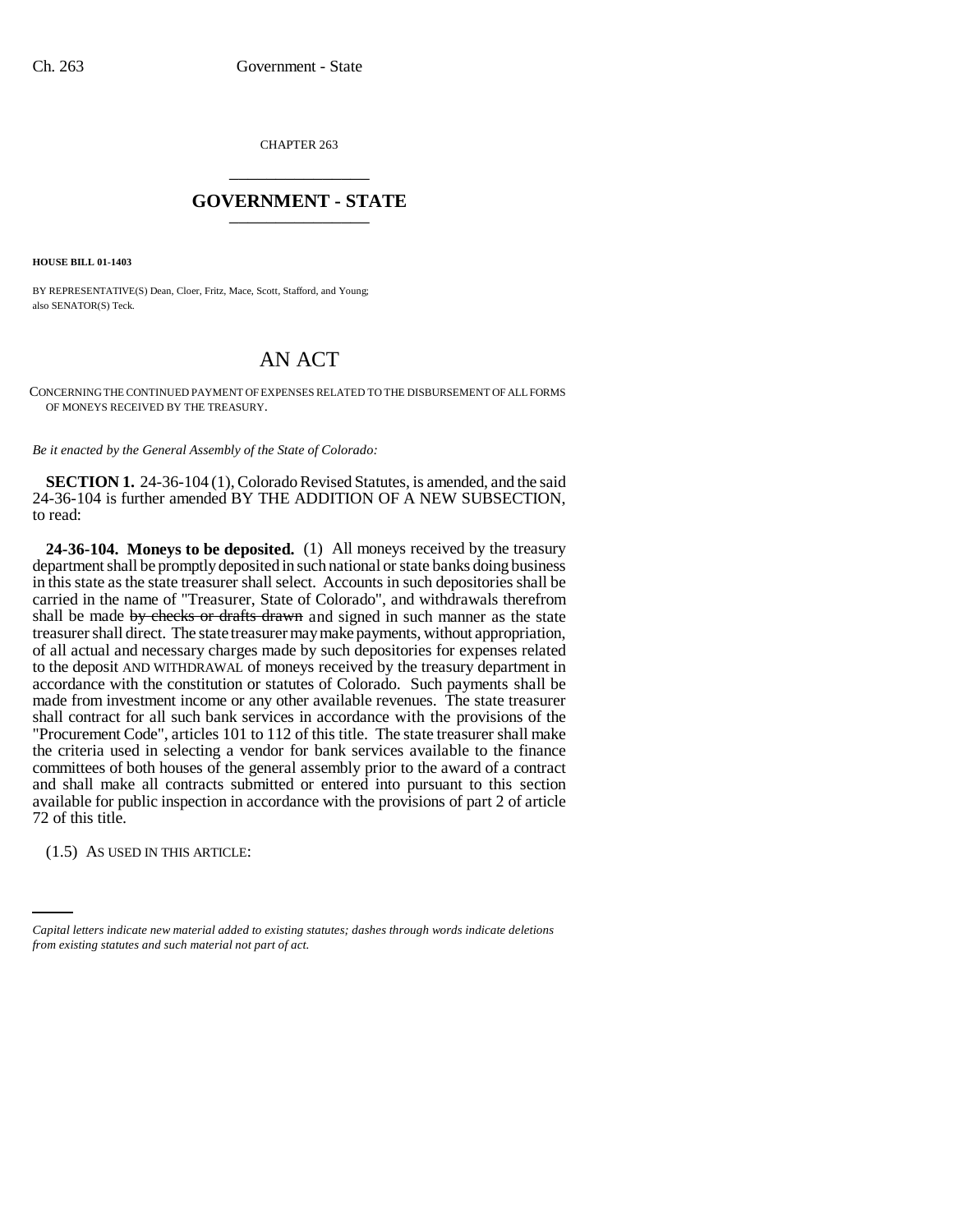CHAPTER 263 \_\_\_\_\_\_\_\_\_\_\_\_\_\_\_

## **GOVERNMENT - STATE** \_\_\_\_\_\_\_\_\_\_\_\_\_\_\_

**HOUSE BILL 01-1403**

BY REPRESENTATIVE(S) Dean, Cloer, Fritz, Mace, Scott, Stafford, and Young; also SENATOR(S) Teck.

## AN ACT

CONCERNING THE CONTINUED PAYMENT OF EXPENSES RELATED TO THE DISBURSEMENT OF ALL FORMS OF MONEYS RECEIVED BY THE TREASURY.

*Be it enacted by the General Assembly of the State of Colorado:*

**SECTION 1.** 24-36-104 (1), Colorado Revised Statutes, is amended, and the said 24-36-104 is further amended BY THE ADDITION OF A NEW SUBSECTION, to read:

**24-36-104. Moneys to be deposited.** (1) All moneys received by the treasury department shall be promptly deposited in such national or state banks doing business in this state as the state treasurer shall select. Accounts in such depositories shall be carried in the name of "Treasurer, State of Colorado", and withdrawals therefrom shall be made by checks or drafts drawn and signed in such manner as the state treasurer shall direct. The state treasurer may make payments, without appropriation, of all actual and necessary charges made by such depositories for expenses related to the deposit AND WITHDRAWAL of moneys received by the treasury department in accordance with the constitution or statutes of Colorado. Such payments shall be made from investment income or any other available revenues. The state treasurer shall contract for all such bank services in accordance with the provisions of the "Procurement Code", articles 101 to 112 of this title. The state treasurer shall make the criteria used in selecting a vendor for bank services available to the finance committees of both houses of the general assembly prior to the award of a contract and shall make all contracts submitted or entered into pursuant to this section available for public inspection in accordance with the provisions of part 2 of article 72 of this title.

(1.5) AS USED IN THIS ARTICLE:

*Capital letters indicate new material added to existing statutes; dashes through words indicate deletions from existing statutes and such material not part of act.*